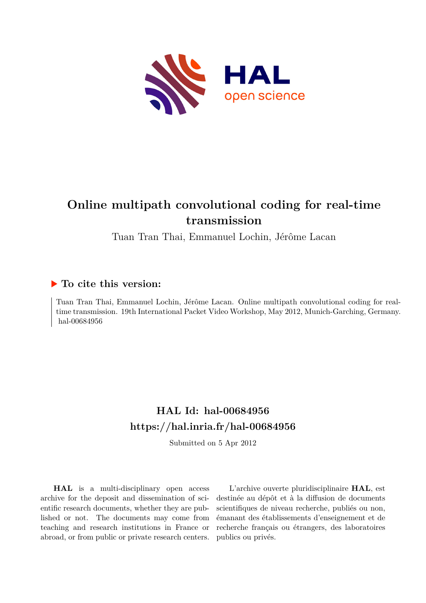

## **Online multipath convolutional coding for real-time transmission**

Tuan Tran Thai, Emmanuel Lochin, Jérôme Lacan

### **To cite this version:**

Tuan Tran Thai, Emmanuel Lochin, Jérôme Lacan. Online multipath convolutional coding for realtime transmission. 19th International Packet Video Workshop, May 2012, Munich-Garching, Germany. hal-00684956

## **HAL Id: hal-00684956 <https://hal.inria.fr/hal-00684956>**

Submitted on 5 Apr 2012

**HAL** is a multi-disciplinary open access archive for the deposit and dissemination of scientific research documents, whether they are published or not. The documents may come from teaching and research institutions in France or abroad, or from public or private research centers.

L'archive ouverte pluridisciplinaire **HAL**, est destinée au dépôt et à la diffusion de documents scientifiques de niveau recherche, publiés ou non, émanant des établissements d'enseignement et de recherche français ou étrangers, des laboratoires publics ou privés.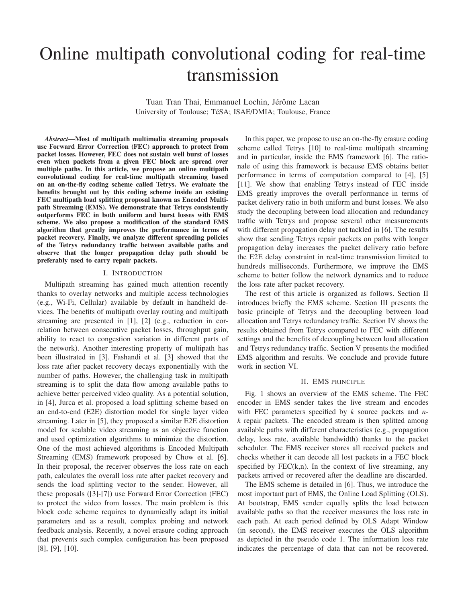# Online multipath convolutional coding for real-time transmission

Tuan Tran Thai, Emmanuel Lochin, Jérôme Lacan University of Toulouse; TéSA; ISAE/DMIA; Toulouse, France

*Abstract*—Most of multipath multimedia streaming proposals use Forward Error Correction (FEC) approach to protect from packet losses. However, FEC does not sustain well burst of losses even when packets from a given FEC block are spread over multiple paths. In this article, we propose an online multipath convolutional coding for real-time multipath streaming based on an on-the-fly coding scheme called Tetrys. We evaluate the benefits brought out by this coding scheme inside an existing FEC multipath load splitting proposal known as Encoded Multipath Streaming (EMS). We demonstrate that Tetrys consistently outperforms FEC in both uniform and burst losses with EMS scheme. We also propose a modification of the standard EMS algorithm that greatly improves the performance in terms of packet recovery. Finally, we analyze different spreading policies of the Tetrys redundancy traffic between available paths and observe that the longer propagation delay path should be preferably used to carry repair packets.

#### I. INTRODUCTION

Multipath streaming has gained much attention recently thanks to overlay networks and multiple access technologies (e.g., Wi-Fi, Cellular) available by default in handheld devices. The benefits of multipath overlay routing and multipath streaming are presented in [1], [2] (e.g., reduction in correlation between consecutive packet losses, throughput gain, ability to react to congestion variation in different parts of the network). Another interesting property of multipath has been illustrated in [3]. Fashandi et al. [3] showed that the loss rate after packet recovery decays exponentially with the number of paths. However, the challenging task in multipath streaming is to split the data flow among available paths to achieve better perceived video quality. As a potential solution, in [4], Jurca et al. proposed a load splitting scheme based on an end-to-end (E2E) distortion model for single layer video streaming. Later in [5], they proposed a similar E2E distortion model for scalable video streaming as an objective function and used optimization algorithms to minimize the distortion. One of the most achieved algorithms is Encoded Multipath Streaming (EMS) framework proposed by Chow et al. [6]. In their proposal, the receiver observes the loss rate on each path, calculates the overall loss rate after packet recovery and sends the load splitting vector to the sender. However, all these proposals ([3]-[7]) use Forward Error Correction (FEC) to protect the video from losses. The main problem is this block code scheme requires to dynamically adapt its initial parameters and as a result, complex probing and network feedback analysis. Recently, a novel erasure coding approach that prevents such complex configuration has been proposed [8], [9], [10].

In this paper, we propose to use an on-the-fly erasure coding scheme called Tetrys [10] to real-time multipath streaming and in particular, inside the EMS framework [6]. The rationale of using this framework is because EMS obtains better performance in terms of computation compared to [4], [5] [11]. We show that enabling Tetrys instead of FEC inside EMS greatly improves the overall performance in terms of packet delivery ratio in both uniform and burst losses. We also study the decoupling between load allocation and redundancy traffic with Tetrys and propose several other measurements with different propagation delay not tackled in [6]. The results show that sending Tetrys repair packets on paths with longer propagation delay increases the packet delivery ratio before the E2E delay constraint in real-time transmission limited to hundreds milliseconds. Furthermore, we improve the EMS scheme to better follow the network dynamics and to reduce the loss rate after packet recovery.

The rest of this article is organized as follows. Section II introduces briefly the EMS scheme. Section III presents the basic principle of Tetrys and the decoupling between load allocation and Tetrys redundancy traffic. Section IV shows the results obtained from Tetrys compared to FEC with different settings and the benefits of decoupling between load allocation and Tetrys redundancy traffic. Section V presents the modified EMS algorithm and results. We conclude and provide future work in section VI.

#### II. EMS PRINCIPLE

Fig. 1 shows an overview of the EMS scheme. The FEC encoder in EMS sender takes the live stream and encodes with FEC parameters specified by *k* source packets and *nk* repair packets. The encoded stream is then splitted among available paths with different characteristics (e.g., propagation delay, loss rate, available bandwidth) thanks to the packet scheduler. The EMS receiver stores all received packets and checks whether it can decode all lost packets in a FEC block specified by  $FEC(k,n)$ . In the context of live streaming, any packets arrived or recovered after the deadline are discarded.

The EMS scheme is detailed in [6]. Thus, we introduce the most important part of EMS, the Online Load Splitting (OLS). At bootstrap, EMS sender equally splits the load between available paths so that the receiver measures the loss rate in each path. At each period defined by OLS Adapt Window (in second), the EMS receiver executes the OLS algorithm as depicted in the pseudo code 1. The information loss rate indicates the percentage of data that can not be recovered.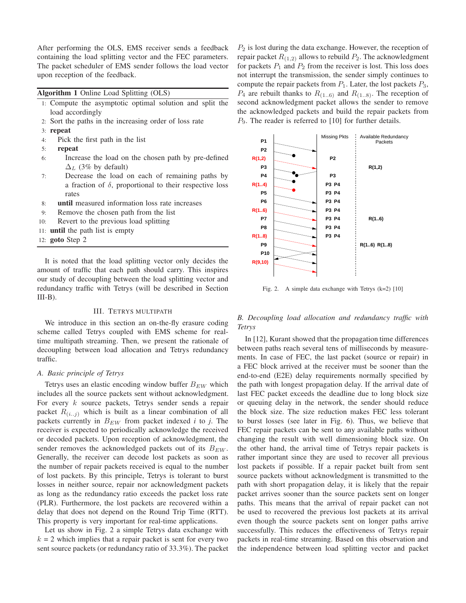After performing the OLS, EMS receiver sends a feedback containing the load splitting vector and the FEC parameters. The packet scheduler of EMS sender follows the load vector upon reception of the feedback.

Algorithm 1 Online Load Splitting (OLS)

- 1: Compute the asymptotic optimal solution and split the load accordingly
- 2: Sort the paths in the increasing order of loss rate
- 3: repeat
- 4: Pick the first path in the list
- 5: repeat
- 6: Increase the load on the chosen path by pre-defined  $\Delta_L$  (3% by default)
- 7: Decrease the load on each of remaining paths by a fraction of  $\delta$ , proportional to their respective loss rates
- 8: until measured information loss rate increases
- 9: Remove the chosen path from the list
- 10: Revert to the previous load splitting
- 11: until the path list is empty
- 12: goto Step 2

It is noted that the load splitting vector only decides the amount of traffic that each path should carry. This inspires our study of decoupling between the load splitting vector and redundancy traffic with Tetrys (will be described in Section  $III-B$ ).

#### III. TETRYS MULTIPATH

We introduce in this section an on-the-fly erasure coding scheme called Tetrys coupled with EMS scheme for realtime multipath streaming. Then, we present the rationale of decoupling between load allocation and Tetrys redundancy traffic.

#### *A. Basic principle of Tetrys*

Tetrys uses an elastic encoding window buffer  $B_{EW}$  which includes all the source packets sent without acknowledgment. For every k source packets, Tetrys sender sends a repair packet  $R_{(i..j)}$  which is built as a linear combination of all packets currently in  $B_{EW}$  from packet indexed *i* to *j*. The receiver is expected to periodically acknowledge the received or decoded packets. Upon reception of acknowledgment, the sender removes the acknowledged packets out of its  $B_{EW}$ . Generally, the receiver can decode lost packets as soon as the number of repair packets received is equal to the number of lost packets. By this principle, Tetrys is tolerant to burst losses in neither source, repair nor acknowledgment packets as long as the redundancy ratio exceeds the packet loss rate (PLR). Furthermore, the lost packets are recovered within a delay that does not depend on the Round Trip Time (RTT). This property is very important for real-time applications.

Let us show in Fig. 2 a simple Tetrys data exchange with  $k = 2$  which implies that a repair packet is sent for every two sent source packets (or redundancy ratio of 33.3%). The packet  $P<sub>2</sub>$  is lost during the data exchange. However, the reception of repair packet  $R_{(1,2)}$  allows to rebuild  $P_2$ . The acknowledgment for packets  $P_1$  and  $P_2$  from the receiver is lost. This loss does not interrupt the transmission, the sender simply continues to compute the repair packets from  $P_1$ . Later, the lost packets  $P_3$ ,  $P_4$  are rebuilt thanks to  $R_{(1..6)}$  and  $R_{(1..8)}$ . The reception of second acknowledgment packet allows the sender to remove the acknowledged packets and build the repair packets from  $P_9$ . The reader is referred to [10] for further details.



Fig. 2. A simple data exchange with Tetrys (k=2) [10]

*B. Decoupling load allocation and redundancy traffic with Tetrys*

In [12], Kurant showed that the propagation time differences between paths reach several tens of milliseconds by measurements. In case of FEC, the last packet (source or repair) in a FEC block arrived at the receiver must be sooner than the end-to-end (E2E) delay requirements normally specified by the path with longest propagation delay. If the arrival date of last FEC packet exceeds the deadline due to long block size or queuing delay in the network, the sender should reduce the block size. The size reduction makes FEC less tolerant to burst losses (see later in Fig. 6). Thus, we believe that FEC repair packets can be sent to any available paths without changing the result with well dimensioning block size. On the other hand, the arrival time of Tetrys repair packets is rather important since they are used to recover all previous lost packets if possible. If a repair packet built from sent source packets without acknowledgment is transmitted to the path with short propagation delay, it is likely that the repair packet arrives sooner than the source packets sent on longer paths. This means that the arrival of repair packet can not be used to recovered the previous lost packets at its arrival even though the source packets sent on longer paths arrive successfully. This reduces the effectiveness of Tetrys repair packets in real-time streaming. Based on this observation and the independence between load splitting vector and packet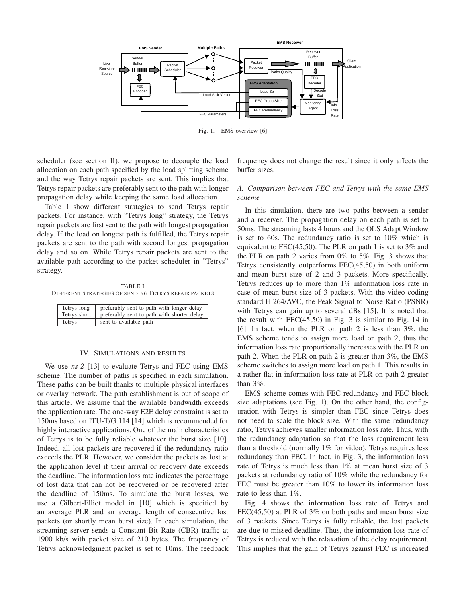

Fig. 1. EMS overview [6]

scheduler (see section II), we propose to decouple the load allocation on each path specified by the load splitting scheme and the way Tetrys repair packets are sent. This implies that Tetrys repair packets are preferably sent to the path with longer propagation delay while keeping the same load allocation.

Table I show different strategies to send Tetrys repair packets. For instance, with "Tetrys long" strategy, the Tetrys repair packets are first sent to the path with longest propagation delay. If the load on longest path is fulfilled, the Tetrys repair packets are sent to the path with second longest propagation delay and so on. While Tetrys repair packets are sent to the available path according to the packet scheduler in "Tetrys" strategy.

TABLE I DIFFERENT STRATEGIES OF SENDING TETRYS REPAIR PACKETS

| Tetrys long  | preferably sent to path with longer delay  |  |
|--------------|--------------------------------------------|--|
| Tetrys short | preferably sent to path with shorter delay |  |
| Tetrys       | sent to available path                     |  |

#### IV. SIMULATIONS AND RESULTS

We use *ns-2* [13] to evaluate Tetrys and FEC using EMS scheme. The number of paths is specified in each simulation. These paths can be built thanks to multiple physical interfaces or overlay network. The path establishment is out of scope of this article. We assume that the available bandwidth exceeds the application rate. The one-way E2E delay constraint is set to 150ms based on ITU-T/G.114 [14] which is recommended for highly interactive applications. One of the main characteristics of Tetrys is to be fully reliable whatever the burst size [10]. Indeed, all lost packets are recovered if the redundancy ratio exceeds the PLR. However, we consider the packets as lost at the application level if their arrival or recovery date exceeds the deadline. The information loss rate indicates the percentage of lost data that can not be recovered or be recovered after the deadline of 150ms. To simulate the burst losses, we use a Gilbert-Elliot model in [10] which is specified by an average PLR and an average length of consecutive lost packets (or shortly mean burst size). In each simulation, the streaming server sends a Constant Bit Rate (CBR) traffic at 1900 kb/s with packet size of 210 bytes. The frequency of Tetrys acknowledgment packet is set to 10ms. The feedback frequency does not change the result since it only affects the buffer sizes.

#### *A. Comparison between FEC and Tetrys with the same EMS scheme*

In this simulation, there are two paths between a sender and a receiver. The propagation delay on each path is set to 50ms. The streaming lasts 4 hours and the OLS Adapt Window is set to 60s. The redundancy ratio is set to 10% which is equivalent to FEC(45,50). The PLR on path 1 is set to 3% and the PLR on path 2 varies from 0% to 5%. Fig. 3 shows that Tetrys consistently outperforms FEC(45,50) in both uniform and mean burst size of 2 and 3 packets. More specifically, Tetrys reduces up to more than 1% information loss rate in case of mean burst size of 3 packets. With the video coding standard H.264/AVC, the Peak Signal to Noise Ratio (PSNR) with Tetrys can gain up to several dBs [15]. It is noted that the result with FEC(45,50) in Fig. 3 is similar to Fig. 14 in [6]. In fact, when the PLR on path 2 is less than 3%, the EMS scheme tends to assign more load on path 2, thus the information loss rate proportionally increases with the PLR on path 2. When the PLR on path 2 is greater than 3%, the EMS scheme switches to assign more load on path 1. This results in a rather flat in information loss rate at PLR on path 2 greater than 3%.

EMS scheme comes with FEC redundancy and FEC block size adaptations (see Fig. 1). On the other hand, the configuration with Tetrys is simpler than FEC since Tetrys does not need to scale the block size. With the same redundancy ratio, Tetrys achieves smaller information loss rate. Thus, with the redundancy adaptation so that the loss requirement less than a threshold (normally 1% for video), Tetrys requires less redundancy than FEC. In fact, in Fig. 3, the information loss rate of Tetrys is much less than 1% at mean burst size of 3 packets at redundancy ratio of 10% while the redundancy for FEC must be greater than 10% to lower its information loss rate to less than 1%.

Fig. 4 shows the information loss rate of Tetrys and FEC(45,50) at PLR of 3% on both paths and mean burst size of 3 packets. Since Tetrys is fully reliable, the lost packets are due to missed deadline. Thus, the information loss rate of Tetrys is reduced with the relaxation of the delay requirement. This implies that the gain of Tetrys against FEC is increased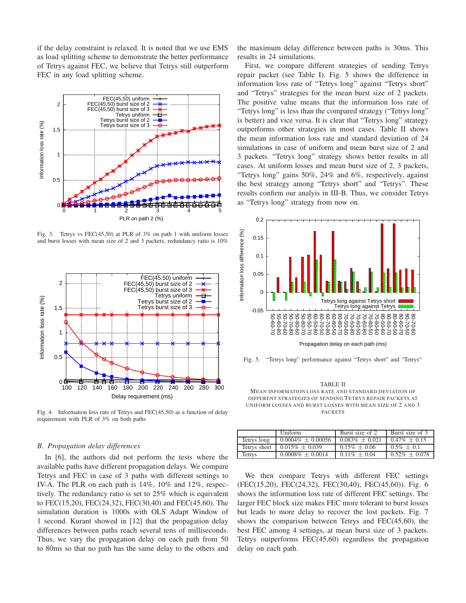if the delay constraint is relaxed. It is noted that we use EMS as load splitting scheme to demonstrate the better performance of Tetrys against FEC, we believe that Tetrys still outperform FEC in any load splitting scheme.



Fig. 3. Tetrys vs FEC(45,50) at PLR of 3% on path 1 with uniform losses and burst losses with mean size of 2 and 3 packets, redundancy ratio is 10%



Fig. 4. Information loss rate of Tetrys and FEC(45,50) as a function of delay requirement with PLR of 3% on both paths

#### *B. Propagation delay differences*

In [6], the authors did not perform the tests where the available paths have different propagation delays. We compare Tetrys and FEC in case of 3 paths with different settings to IV-A. The PLR on each path is 14%, 10% and 12%, respectively. The redundancy ratio is set to 25% which is equivalent to FEC(15,20), FEC(24,32), FEC(30,40) and FEC(45,60). The simulation duration is 1000s with OLS Adapt Window of 1 second. Kurant showed in [12] that the propagation delay differences between paths reach several tens of milliseconds. Thus, we vary the propagation delay on each path from 50 to 80ms so that no path has the same delay to the others and

the maximum delay difference between paths is 30ms. This results in 24 simulations.

First, we compare different strategies of sending Tetrys repair packet (see Table I). Fig. 5 shows the difference in information loss rate of "Tetrys long" against "Tetrys short" and "Tetrys" strategies for the mean burst size of 2 packets. The positive value means that the information loss rate of "Tetrys long" is less than the compared strategy ("Tetrys long" is better) and vice versa. It is clear that "Tetrys long" strategy outperforms other strategies in most cases. Table II shows the mean information loss rate and standard deviation of 24 simulations in case of uniform and mean burst size of 2 and 3 packets. "Tetrys long" strategy shows better results in all cases. At uniform losses and mean burst size of 2, 3 packets, "Tetrys long" gains 50%, 24% and 6%, respectively, against the best strategy among "Tetrys short" and "Tetrys". These results confirm our analyis in III-B. Thus, we consider Tetrys as "Tetrys long" strategy from now on.



Fig. 5. "Tetrys long" performance against "Tetrys short" and "Tetrys"

TABLE II MEAN INFORMATION LOSS RATE AND STANDARD DEVIATION OF DIFFERENT STRATEGIES OF SENDING TETRYS REPAIR PACKETS AT UNIFORM LOSSES AND BURST LOSSES WITH MEAN SIZE OF 2 AND 3 PACKETS

|              | Uniform                | Burst size of 2   | Burst size of 3  |
|--------------|------------------------|-------------------|------------------|
| Tetrys long  | $0.0004\% \pm 0.00056$ | $0.083\% + 0.021$ | $0.47\% + 0.15$  |
| Tetrys short | $0.015\% \pm 0.039$    | $0.15\% + 0.06$   | $0.5\% + 0.1$    |
| Tetrys       | $0.0008\% \pm 0.0014$  | $0.11\% + 0.04$   | $0.52\% + 0.078$ |

We then compare Tetrys with different FEC settings (FEC(15,20), FEC(24,32), FEC(30,40), FEC(45,60)). Fig. 6 shows the information loss rate of different FEC settings. The larger FEC block size makes FEC more tolerant to burst losses but leads to more delay to recover the lost packets. Fig. 7 shows the comparison between Tetrys and FEC(45,60), the best FEC among 4 settings, at mean burst size of 3 packets. Tetrys outperforms FEC(45,60) regardless the propagation delay on each path.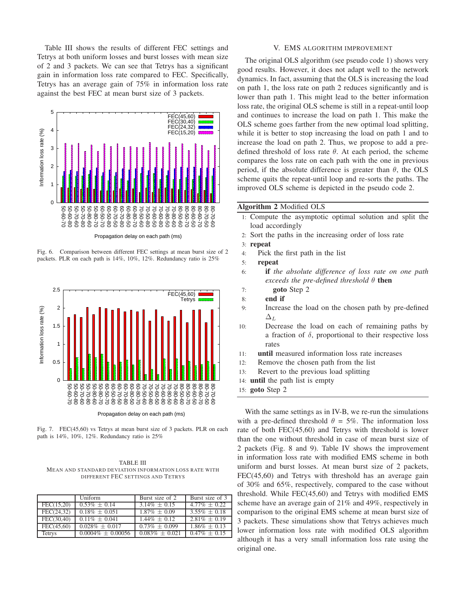Table III shows the results of different FEC settings and Tetrys at both uniform losses and burst losses with mean size of 2 and 3 packets. We can see that Tetrys has a significant gain in information loss rate compared to FEC. Specifically, Tetrys has an average gain of 75% in information loss rate against the best FEC at mean burst size of 3 packets.



Fig. 6. Comparison between different FEC settings at mean burst size of 2 packets. PLR on each path is 14%, 10%, 12%. Redundancy ratio is 25%



Propagation delay on each path (ms)

Fig. 7. FEC(45,60) vs Tetrys at mean burst size of 3 packets. PLR on each path is 14%, 10%, 12%. Redundancy ratio is 25%

TABLE III MEAN AND STANDARD DEVIATION INFORMATION LOSS RATE WITH DIFFERENT FEC SETTINGS AND TETRYS

|               | Uniform                | Burst size of 2   | Burst size of 3 |
|---------------|------------------------|-------------------|-----------------|
| FEC $(15,20)$ | $0.53\% + 0.14$        | $3.14\% + 0.15$   | $4.77\% + 0.22$ |
| FEC(24.32)    | $0.18\% + 0.051$       | $1.87\% + 0.09$   | $3.55\% + 0.18$ |
| FEC(30.40)    | $0.11\% + 0.041$       | $1.44\% + 0.12$   | $2.81\% + 0.19$ |
| FEC(45.60)    | $0.028\% + 0.017$      | $0.73\% + 0.099$  | $1.86\% + 0.13$ |
| Tetrys        | $0.0004\% \pm 0.00056$ | $0.083\% + 0.021$ | $0.47\% + 0.15$ |

#### V. EMS ALGORITHM IMPROVEMENT

The original OLS algorithm (see pseudo code 1) shows very good results. However, it does not adapt well to the network dynamics. In fact, assuming that the OLS is increasing the load on path 1, the loss rate on path 2 reduces significantly and is lower than path 1. This might lead to the better information loss rate, the original OLS scheme is still in a repeat-until loop and continues to increase the load on path 1. This make the OLS scheme goes farther from the new optimal load splitting, while it is better to stop increasing the load on path 1 and to increase the load on path 2. Thus, we propose to add a predefined threshold of loss rate  $\theta$ . At each period, the scheme compares the loss rate on each path with the one in previous period, if the absolute difference is greater than  $\theta$ , the OLS scheme quits the repeat-until loop and re-sorts the paths. The improved OLS scheme is depicted in the pseudo code 2.

#### Algorithm 2 Modified OLS

- 1: Compute the asymptotic optimal solution and split the load accordingly
- 2: Sort the paths in the increasing order of loss rate
- 3: repeat
- 4: Pick the first path in the list
- 5: repeat
- 6: if *the absolute difference of loss rate on one path exceeds the pre-defined threshold*  $\theta$  **then**
- 7: goto Step 2
- 8: end if
- 9: Increase the load on the chosen path by pre-defined  $\Delta_L$
- 10: Decrease the load on each of remaining paths by a fraction of  $\delta$ , proportional to their respective loss rates
- 11: until measured information loss rate increases
- 12: Remove the chosen path from the list
- 13: Revert to the previous load splitting
- 14: until the path list is empty
- 15: goto Step 2

With the same settings as in IV-B, we re-run the simulations with a pre-defined threshold  $\theta = 5\%$ . The information loss rate of both FEC(45,60) and Tetrys with threshold is lower than the one without threshold in case of mean burst size of 2 packets (Fig. 8 and 9). Table IV shows the improvement in information loss rate with modified EMS scheme in both uniform and burst losses. At mean burst size of 2 packets, FEC(45,60) and Tetrys with threshold has an average gain of 30% and 65%, respectively, compared to the case without threshold. While FEC(45,60) and Tetrys with modified EMS scheme have an average gain of 21% and 49%, respectively in comparison to the original EMS scheme at mean burst size of 3 packets. These simulations show that Tetrys achieves much lower information loss rate with modified OLS algorithm although it has a very small information loss rate using the original one.